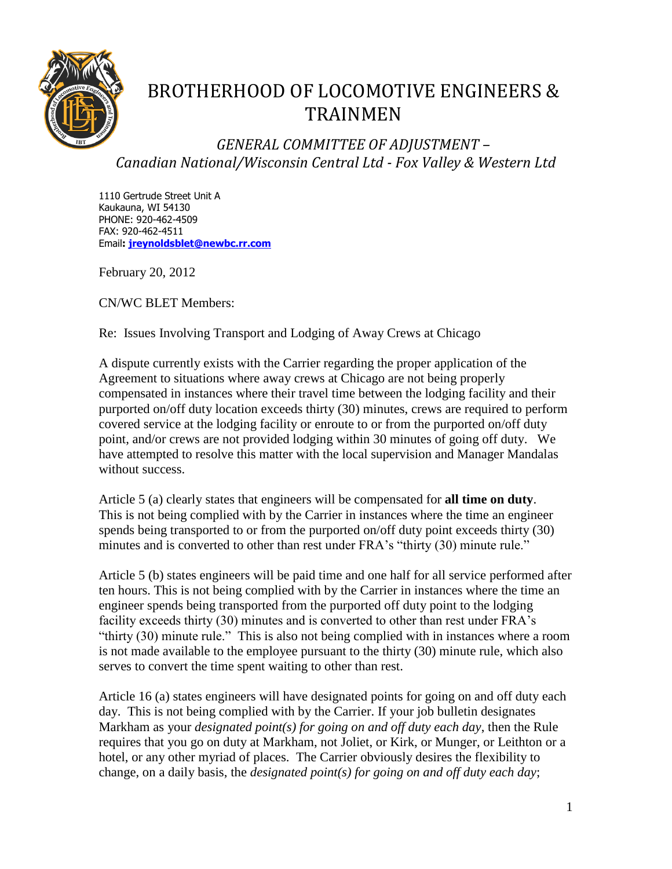

## BROTHERHOOD OF LOCOMOTIVE ENGINEERS & TRAINMEN

*GENERAL COMMITTEE OF ADJUSTMENT – Canadian National/Wisconsin Central Ltd - Fox Valley & Western Ltd*

1110 Gertrude Street Unit A Kaukauna, WI 54130 PHONE: 920-462-4509 FAX: 920-462-4511 Email**: [jreynoldsblet@newbc.rr.com](mailto:jreynoldblet@newbc.rr.com)**

February 20, 2012

CN/WC BLET Members:

Re: Issues Involving Transport and Lodging of Away Crews at Chicago

A dispute currently exists with the Carrier regarding the proper application of the Agreement to situations where away crews at Chicago are not being properly compensated in instances where their travel time between the lodging facility and their purported on/off duty location exceeds thirty (30) minutes, crews are required to perform covered service at the lodging facility or enroute to or from the purported on/off duty point, and/or crews are not provided lodging within 30 minutes of going off duty. We have attempted to resolve this matter with the local supervision and Manager Mandalas without success.

Article 5 (a) clearly states that engineers will be compensated for **all time on duty**. This is not being complied with by the Carrier in instances where the time an engineer spends being transported to or from the purported on/off duty point exceeds thirty (30) minutes and is converted to other than rest under FRA's "thirty (30) minute rule."

Article 5 (b) states engineers will be paid time and one half for all service performed after ten hours. This is not being complied with by the Carrier in instances where the time an engineer spends being transported from the purported off duty point to the lodging facility exceeds thirty (30) minutes and is converted to other than rest under FRA's "thirty (30) minute rule." This is also not being complied with in instances where a room is not made available to the employee pursuant to the thirty (30) minute rule, which also serves to convert the time spent waiting to other than rest.

Article 16 (a) states engineers will have designated points for going on and off duty each day. This is not being complied with by the Carrier. If your job bulletin designates Markham as your *designated point(s) for going on and off duty each day*, then the Rule requires that you go on duty at Markham, not Joliet, or Kirk, or Munger, or Leithton or a hotel, or any other myriad of places. The Carrier obviously desires the flexibility to change, on a daily basis, the *designated point(s) for going on and off duty each day*;